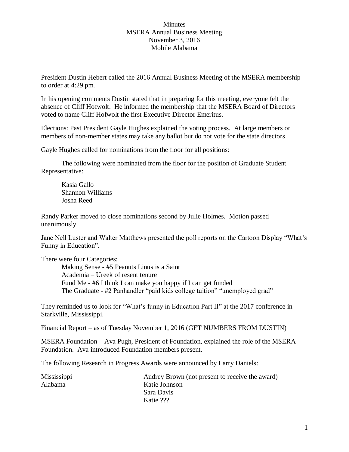## Minutes MSERA Annual Business Meeting November 3, 2016 Mobile Alabama

President Dustin Hebert called the 2016 Annual Business Meeting of the MSERA membership to order at 4:29 pm.

In his opening comments Dustin stated that in preparing for this meeting, everyone felt the absence of Cliff Hofwolt. He informed the membership that the MSERA Board of Directors voted to name Cliff Hofwolt the first Executive Director Emeritus.

Elections: Past President Gayle Hughes explained the voting process. At large members or members of non-member states may take any ballot but do not vote for the state directors

Gayle Hughes called for nominations from the floor for all positions:

The following were nominated from the floor for the position of Graduate Student Representative:

Kasia Gallo Shannon Williams Josha Reed

Randy Parker moved to close nominations second by Julie Holmes. Motion passed unanimously.

Jane Nell Luster and Walter Matthews presented the poll reports on the Cartoon Display "What's Funny in Education".

There were four Categories:

Making Sense - #5 Peanuts Linus is a Saint Academia – Ureek of resent tenure Fund Me - #6 I think I can make you happy if I can get funded The Graduate - #2 Panhandler "paid kids college tuition" "unemployed grad"

They reminded us to look for "What's funny in Education Part II" at the 2017 conference in Starkville, Mississippi.

Financial Report – as of Tuesday November 1, 2016 (GET NUMBERS FROM DUSTIN)

MSERA Foundation – Ava Pugh, President of Foundation, explained the role of the MSERA Foundation. Ava introduced Foundation members present.

The following Research in Progress Awards were announced by Larry Daniels:

| <b>Mississippi</b> | Audrey Brown (not present to receive the award) |
|--------------------|-------------------------------------------------|
| Alabama            | Katie Johnson                                   |
|                    | Sara Davis                                      |
|                    | Katie ???                                       |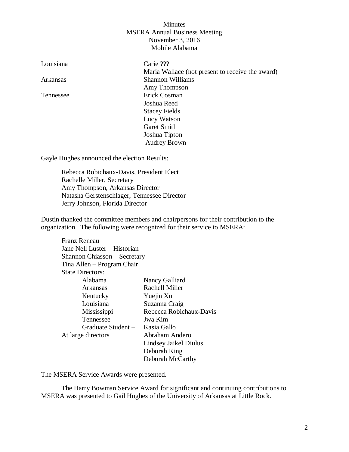## Minutes MSERA Annual Business Meeting November 3, 2016 Mobile Alabama

| Louisiana | Carie ???                                        |
|-----------|--------------------------------------------------|
|           | Maria Wallace (not present to receive the award) |
| Arkansas  | <b>Shannon Williams</b>                          |
|           | Amy Thompson                                     |
| Tennessee | Erick Cosman                                     |
|           | Joshua Reed                                      |
|           | <b>Stacey Fields</b>                             |
|           | Lucy Watson                                      |
|           | Garet Smith                                      |
|           | Joshua Tipton                                    |
|           | <b>Audrey Brown</b>                              |
|           |                                                  |

Gayle Hughes announced the election Results:

Rebecca Robichaux-Davis, President Elect Rachelle Miller, Secretary Amy Thompson, Arkansas Director Natasha Gerstenschlager, Tennessee Director Jerry Johnson, Florida Director

Dustin thanked the committee members and chairpersons for their contribution to the organization. The following were recognized for their service to MSERA:

| Franz Reneau                 |                         |  |  |
|------------------------------|-------------------------|--|--|
| Jane Nell Luster – Historian |                         |  |  |
| Shannon Chiasson - Secretary |                         |  |  |
| Tina Allen – Program Chair   |                         |  |  |
| <b>State Directors:</b>      |                         |  |  |
| Alabama                      | Nancy Galliard          |  |  |
| Arkansas                     | Rachell Miller          |  |  |
| Kentucky                     | Yuejin Xu               |  |  |
| Louisiana                    | Suzanna Craig           |  |  |
| Mississippi                  | Rebecca Robichaux-Davis |  |  |
| Tennessee                    | Jwa Kim                 |  |  |
| Graduate Student –           | Kasia Gallo             |  |  |
| At large directors           | Abraham Andero          |  |  |
|                              | Lindsey Jaikel Diulus   |  |  |
|                              | Deborah King            |  |  |
|                              | Deborah McCarthy        |  |  |

The MSERA Service Awards were presented.

The Harry Bowman Service Award for significant and continuing contributions to MSERA was presented to Gail Hughes of the University of Arkansas at Little Rock.